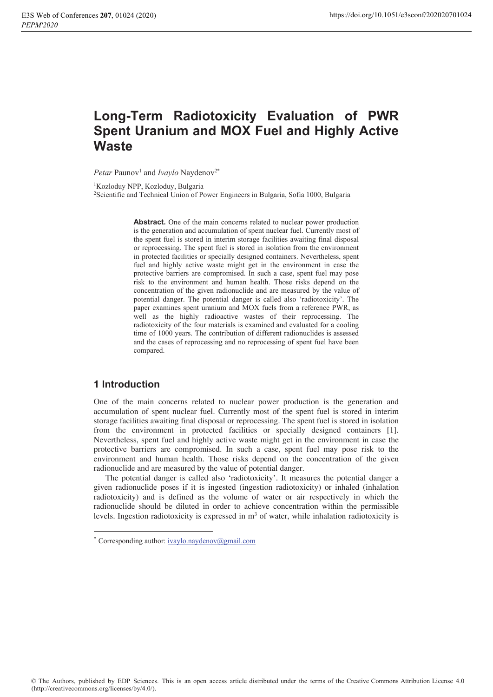# Long-Term Radiotoxicity Evaluation of PWR **Spent Uranium and MOX Fuel and Highly Active Waste**

*Petar* Paunov<sup>1</sup> and *Ivaylo* Naydenov<sup>2\*</sup>

<sup>1</sup>Kozloduy NPP, Kozloduy, Bulgaria

<sup>2</sup>Scientific and Technical Union of Power Engineers in Bulgaria, Sofia 1000, Bulgaria

Abstract. One of the main concerns related to nuclear power production is the generation and accumulation of spent nuclear fuel. Currently most of the spent fuel is stored in interim storage facilities awaiting final disposal or reprocessing. The spent fuel is stored in isolation from the environment in protected facilities or specially designed containers. Nevertheless, spent fuel and highly active waste might get in the environment in case the protective barriers are compromised. In such a case, spent fuel may pose risk to the environment and human health. Those risks depend on the concentration of the given radionuclide and are measured by the value of potential danger. The potential danger is called also 'radiotoxicity'. The paper examines spent uranium and MOX fuels from a reference PWR, as well as the highly radioactive wastes of their reprocessing. The radiotoxicity of the four materials is examined and evaluated for a cooling time of 1000 years. The contribution of different radionuclides is assessed and the cases of reprocessing and no reprocessing of spent fuel have been compared.

## **1** Introduction

One of the main concerns related to nuclear power production is the generation and accumulation of spent nuclear fuel. Currently most of the spent fuel is stored in interim storage facilities awaiting final disposal or reprocessing. The spent fuel is stored in isolation from the environment in protected facilities or specially designed containers [1]. Nevertheless, spent fuel and highly active waste might get in the environment in case the protective barriers are compromised. In such a case, spent fuel may pose risk to the environment and human health. Those risks depend on the concentration of the given radionuclide and are measured by the value of potential danger.

The potential danger is called also 'radiotoxicity'. It measures the potential danger a given radionuclide poses if it is ingested (ingestion radiotoxicity) or inhaled (inhalation radiotoxicity) and is defined as the volume of water or air respectively in which the radionuclide should be diluted in order to achieve concentration within the permissible levels. Ingestion radiotoxicity is expressed in  $m<sup>3</sup>$  of water, while inhalation radiotoxicity is

Corresponding author: ivaylo.naydenov@gmail.com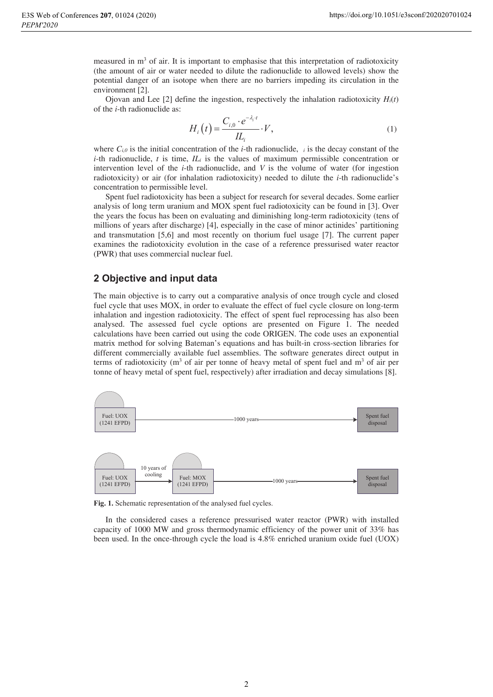measured in  $m<sup>3</sup>$  of air. It is important to emphasise that this interpretation of radiotoxicity (the amount of air or water needed to dilute the radionuclide to allowed levels) show the potential danger of an isotope when there are no barriers impeding its circulation in the environment [2].

Ojovan and Lee  $[2]$  define the ingestion, respectively the inhalation radiotoxicity  $H_i(t)$ of the *i*-th radionuclide as:

$$
H_i(t) = \frac{C_{i,0} \cdot e^{-\lambda_i t}}{IL_i} \cdot V,\tag{1}
$$

where  $C_{i,0}$  is the initial concentration of the *i*-th radionuclide, *i* is the decay constant of the *i*-th radionuclide, *t* is time, *ILi* is the values of maximum permissible concentration or intervention level of the *i*-th radionuclide, and *V* is the volume of water (for ingestion radiotoxicity) or air (for inhalation radiotoxicity) needed to dilute the *i*-th radionuclide's concentration to permissible level.

Spent fuel radiotoxicity has been a subject for research for several decades. Some earlier analysis of long term uranium and MOX spent fuel radiotoxicity can be found in [3]. Over the years the focus has been on evaluating and diminishing long-term radiotoxicity (tens of millions of years after discharge) [4], especially in the case of minor actinides' partitioning and transmutation [5,6] and most recently on thorium fuel usage [7]. The current paper examines the radiotoxicity evolution in the case of a reference pressurised water reactor (PWR) that uses commercial nuclear fuel.

## **2 Objective and input data**

The main objective is to carry out a comparative analysis of once trough cycle and closed fuel cycle that uses MOX, in order to evaluate the effect of fuel cycle closure on long-term inhalation and ingestion radiotoxicity. The effect of spent fuel reprocessing has also been analysed. The assessed fuel cycle options are presented on Figure 1. The needed calculations have been carried out using the code ORIGEN. The code uses an exponential matrix method for solving Bateman's equations and has built-in cross-section libraries for different commercially available fuel assemblies. The software generates direct output in terms of radiotoxicity ( $m<sup>3</sup>$  of air per tonne of heavy metal of spent fuel and  $m<sup>3</sup>$  of air per tonne of heavy metal of spent fuel, respectively) after irradiation and decay simulations [8].



Fig. 1. Schematic representation of the analysed fuel cycles.

In the considered cases a reference pressurised water reactor (PWR) with installed capacity of 1000 MW and gross thermodynamic efficiency of the power unit of 33% has been used. In the once-through cycle the load is 4.8% enriched uranium oxide fuel (UOX)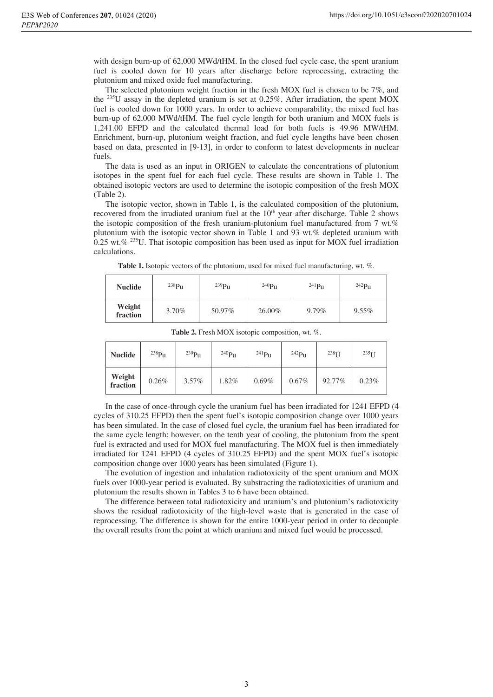with design burn-up of 62,000 MWd/tHM. In the closed fuel cycle case, the spent uranium fuel is cooled down for 10 years after discharge before reprocessing, extracting the plutonium and mixed oxide fuel manufacturing.

The selected plutonium weight fraction in the fresh MOX fuel is chosen to be 7%, and the <sup>235</sup>U assay in the depleted uranium is set at 0.25%. After irradiation, the spent MOX fuel is cooled down for 1000 years. In order to achieve comparability, the mixed fuel has burn-up of 62,000 MWd/tHM. The fuel cycle length for both uranium and MOX fuels is 1,241.00 EFPD and the calculated thermal load for both fuels is 49.96 MW/tHM. Enrichment, burn-up, plutonium weight fraction, and fuel cycle lengths have been chosen based on data, presented in [9-13], in order to conform to latest developments in nuclear fuels.

The data is used as an input in ORIGEN to calculate the concentrations of plutonium isotopes in the spent fuel for each fuel cycle. These results are shown in Table 1. The obtained isotopic vectors are used to determine the isotopic composition of the fresh MOX (Table 2).

The isotopic vector, shown in Table 1, is the calculated composition of the plutonium, recovered from the irradiated uranium fuel at the 10<sup>th</sup> year after discharge. Table 2 shows the isotopic composition of the fresh uranium-plutonium fuel manufactured from 7 wt.% plutonium with the isotopic vector shown in Table 1 and 93 wt.% depleted uranium with 0.25 wt.%  $235$ U. That isotopic composition has been used as input for MOX fuel irradiation calculations.

**Table 1.** Isotopic vectors of the plutonium, used for mixed fuel manufacturing, wt. %.

| <b>Nuclide</b>     | 238P <sub>U</sub> | $^{239}Pu$ | 240P <sub>U</sub> | $^{241}Pu$ | $242$ Pu |
|--------------------|-------------------|------------|-------------------|------------|----------|
| Weight<br>fraction | 3.70%             | 50.97%     | 26.00%            | $9.79\%$   | $9.55\%$ |

| <b>Nuclide</b>     | 238P <sub>U</sub> | 239P <sub>u</sub> | $^{240}Pu$ | $^{241}Pu$ | $242P_{11}$ | 238 <sub>T</sub> | $235$ T T |
|--------------------|-------------------|-------------------|------------|------------|-------------|------------------|-----------|
| Weight<br>fraction | 0.26%             | $3.57\%$          | 1.82%      | $0.69\%$   | 0.67%       | 92.77%           | $0.23\%$  |

**Table 2.** Fresh MOX isotopic composition, wt. %.

In the case of once-through cycle the uranium fuel has been irradiated for 1241 EFPD (4 cycles of 310.25 EFPD) then the spent fuel's isotopic composition change over 1000 years has been simulated. In the case of closed fuel cycle, the uranium fuel has been irradiated for the same cycle length; however, on the tenth year of cooling, the plutonium from the spent fuel is extracted and used for MOX fuel manufacturing. The MOX fuel is then immediately irradiated for 1241 EFPD (4 cycles of 310.25 EFPD) and the spent MOX fuel's isotopic composition change over 1000 years has been simulated (Figure 1).

The evolution of ingestion and inhalation radiotoxicity of the spent uranium and MOX fuels over 1000-year period is evaluated. By substracting the radiotoxicities of uranium and plutonium the results shown in Tables 3 to 6 have been obtained.

The difference between total radiotoxicity and uranium's and plutonium's radiotoxicity shows the residual radiotoxicity of the high-level waste that is generated in the case of reprocessing. The difference is shown for the entire 1000-year period in order to decouple the overall results from the point at which uranium and mixed fuel would be processed.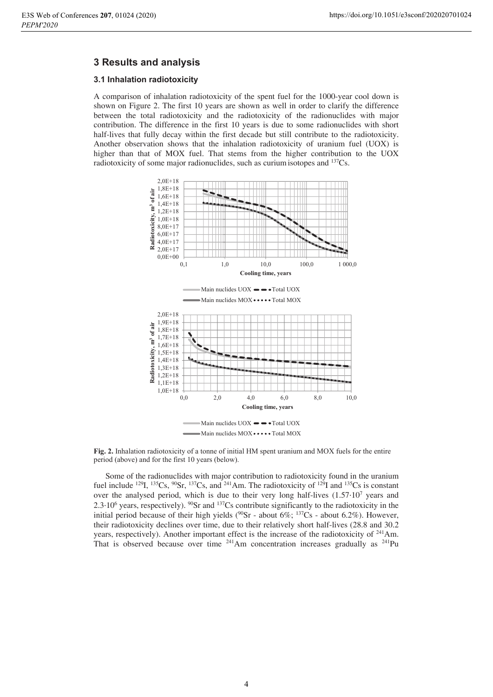## **3 Results and analysis**

### **3.1 Inhalation radiotoxicity**

A comparison of inhalation radiotoxicity of the spent fuel for the 1000-year cool down is shown on Figure 2. The first 10 years are shown as well in order to clarify the difference between the total radiotoxicity and the radiotoxicity of the radionuclides with major contribution. The difference in the first 10 years is due to some radionuclides with short half-lives that fully decay within the first decade but still contribute to the radiotoxicity. Another observation shows that the inhalation radiotoxicity of uranium fuel (UOX) is higher than that of MOX fuel. That stems from the higher contribution to the UOX radiotoxicity of some major radionuclides, such as curium isotopes and <sup>137</sup>Cs.



Fig. 2. Inhalation radiotoxicity of a tonne of initial HM spent uranium and MOX fuels for the entire period (above) and for the first 10 years (below).

Some of the radionuclides with major contribution to radiotoxicity found in the uranium fuel include <sup>129</sup>I, <sup>135</sup>Cs, <sup>90</sup>Sr, <sup>137</sup>Cs, and <sup>241</sup>Am. The radiotoxicity of <sup>129</sup>I and <sup>135</sup>Cs is constant over the analysed period, which is due to their very long half-lives  $(1.57 \cdot 10^7$  years and  $2.3 \cdot 10^6$  years, respectively).  $^{90}$ Sr and  $^{137}$ Cs contribute significantly to the radiotoxicity in the initial period because of their high yields ( $^{90}$ Sr - about 6%;  $^{137}$ Cs - about 6.2%). However, their radiotoxicity declines over time, due to their relatively short half-lives (28.8 and 30.2 years, respectively). Another important effect is the increase of the radiotoxicity of  $241$ Am. That is observed because over time <sup>241</sup>Am concentration increases gradually as <sup>241</sup>Pu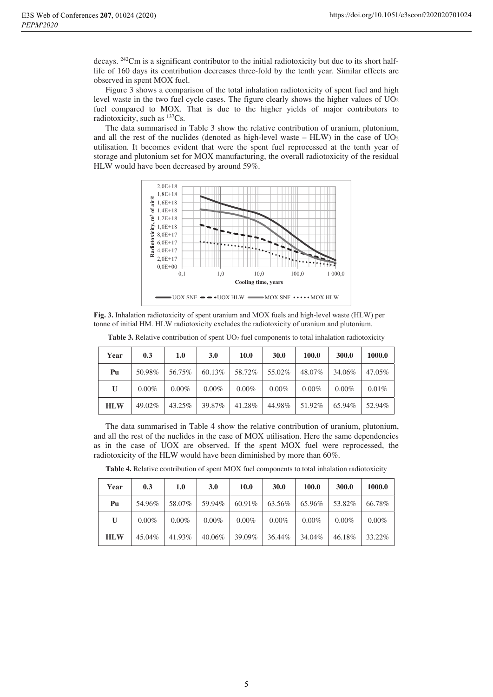decays. 242Cm is a significant contributor to the initial radiotoxicity but due to its short halflife of 160 days its contribution decreases three-fold by the tenth year. Similar effects are observed in spent MOX fuel.

Figure 3 shows a comparison of the total inhalation radiotoxicity of spent fuel and high level waste in the two fuel cycle cases. The figure clearly shows the higher values of  $UO<sub>2</sub>$ fuel compared to MOX. That is due to the higher yields of major contributors to radiotoxicity, such as  $^{137}Cs$ .

The data summarised in Table 3 show the relative contribution of uranium, plutonium, and all the rest of the nuclides (denoted as high-level waste –  $HLW$ ) in the case of  $UO<sub>2</sub>$ utilisation. It becomes evident that were the spent fuel reprocessed at the tenth year of storage and plutonium set for MOX manufacturing, the overall radiotoxicity of the residual HLW would have been decreased by around 59%.



Fig. 3. Inhalation radiotoxicity of spent uranium and MOX fuels and high-level waste (HLW) per tonne of initial HM. HLW radiotoxicity excludes the radiotoxicity of uranium and plutonium.

| Year         | 0.3      | 1.0      | <b>3.0</b> | 10.0     | 30.0     | 100.0    | 300.0    | 1000.0 |
|--------------|----------|----------|------------|----------|----------|----------|----------|--------|
| Pu           | 50.98%   | 56.75%   | 60.13%     | 58.72%   | 55.02%   | 48.07%   | 34.06%   | 47.05% |
| $\mathbf{U}$ | $0.00\%$ | $0.00\%$ | $0.00\%$   | $0.00\%$ | $0.00\%$ | $0.00\%$ | $0.00\%$ | 0.01%  |
| <b>HLW</b>   | 49.02%   | 43.25%   | 39.87%     | 41.28%   | 44.98%   | 51.92%   | 65.94%   | 52.94% |

Table 3. Relative contribution of spent UO<sub>2</sub> fuel components to total inhalation radiotoxicity

The data summarised in Table 4 show the relative contribution of uranium, plutonium, and all the rest of the nuclides in the case of MOX utilisation. Here the same dependencies as in the case of UOX are observed. If the spent MOX fuel were reprocessed, the radiotoxicity of the HLW would have been diminished by more than 60%.

| Year         | 0.3      | 1.0      | 3.0      | 10.0     | 30.0     | 100.0    | 300.0    | 1000.0   |
|--------------|----------|----------|----------|----------|----------|----------|----------|----------|
| Pu           | 54.96%   | 58.07%   | 59.94%   | 60.91%   | 63.56%   | 65.96%   | 53.82%   | 66.78%   |
| $\mathbf{U}$ | $0.00\%$ | $0.00\%$ | $0.00\%$ | $0.00\%$ | $0.00\%$ | $0.00\%$ | $0.00\%$ | $0.00\%$ |
| <b>HLW</b>   | 45.04%   | 41.93%   | 40.06%   | 39.09%   | 36.44%   | 34.04%   | 46.18%   | 33.22%   |

**Table 4.** Relative contribution of spent MOX fuel components to total inhalation radiotoxicity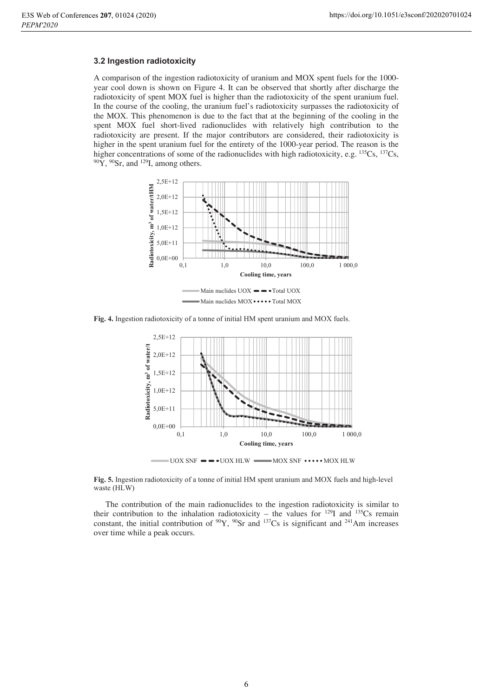#### **3.2 Ingestion radiotoxicity**

A comparison of the ingestion radiotoxicity of uranium and MOX spent fuels for the 1000 year cool down is shown on Figure 4. It can be observed that shortly after discharge the radiotoxicity of spent MOX fuel is higher than the radiotoxicity of the spent uranium fuel. In the course of the cooling, the uranium fuel's radiotoxicity surpasses the radiotoxicity of the MOX. This phenomenon is due to the fact that at the beginning of the cooling in the spent MOX fuel short-lived radionuclides with relatively high contribution to the radiotoxicity are present. If the major contributors are considered, their radiotoxicity is higher in the spent uranium fuel for the entirety of the 1000-year period. The reason is the higher concentrations of some of the radionuclides with high radiotoxicity, e.g.  $^{135}Cs$ ,  $^{137}Cs$ ,  $^{90}Y$ ,  $^{90}Sr$ , and  $^{129}I$ , among others.



Fig. 4. Ingestion radiotoxicity of a tonne of initial HM spent uranium and MOX fuels.



 $800X$  SNF  $\bullet \bullet \bullet$  UOX HLW  $\bullet$  MOX SNF  $\bullet \bullet \bullet \bullet$  MOX HLW

Fig. 5. Ingestion radiotoxicity of a tonne of initial HM spent uranium and MOX fuels and high-level waste (HLW)

The contribution of the main radionuclides to the ingestion radiotoxicity is similar to their contribution to the inhalation radiotoxicity – the values for  $^{129}I$  and  $^{135}Cs$  remain constant, the initial contribution of  $90Y$ ,  $90Sr$  and  $137Cs$  is significant and  $241Am$  increases over time while a peak occurs.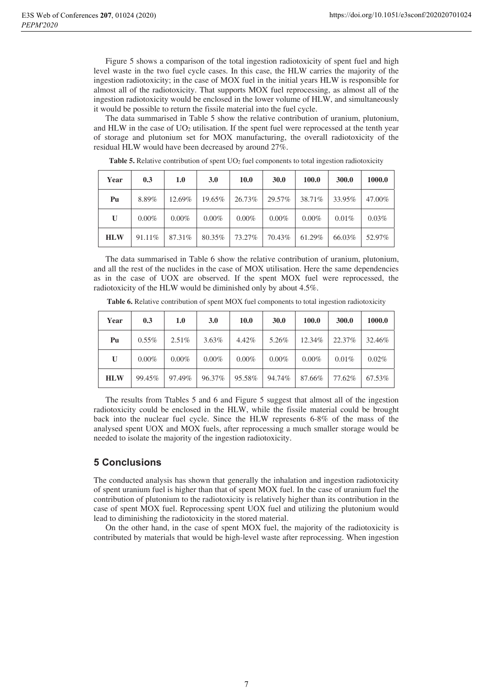Figure 5 shows a comparison of the total ingestion radiotoxicity of spent fuel and high level waste in the two fuel cycle cases. In this case, the HLW carries the majority of the ingestion radiotoxicity; in the case of MOX fuel in the initial years HLW is responsible for almost all of the radiotoxicity. That supports MOX fuel reprocessing, as almost all of the ingestion radiotoxicity would be enclosed in the lower volume of HLW, and simultaneously it would be possible to return the fissile material into the fuel cycle.

The data summarised in Table 5 show the relative contribution of uranium, plutonium, and HLW in the case of  $UO<sub>2</sub>$  utilisation. If the spent fuel were reprocessed at the tenth year of storage and plutonium set for MOX manufacturing, the overall radiotoxicity of the residual HLW would have been decreased by around 27%.

| Year         | 0.3      | 1.0      | <b>3.0</b> | <b>10.0</b> | 30.0     | 100.0    | 300.0  | 1000.0 |
|--------------|----------|----------|------------|-------------|----------|----------|--------|--------|
| Pu           | 8.89%    | 12.69%   | 19.65%     | 26.73%      | 29.57%   | 38.71%   | 33.95% | 47.00% |
| $\mathbf{U}$ | $0.00\%$ | $0.00\%$ | $0.00\%$   | $0.00\%$    | $0.00\%$ | $0.00\%$ | 0.01%  | 0.03%  |
| <b>HLW</b>   | 91.11\%  | 87.31%   | 80.35%     | 73.27%      | 70.43%   | 61.29%   | 66.03% | 52.97% |

Table 5. Relative contribution of spent UO<sub>2</sub> fuel components to total ingestion radiotoxicity

The data summarised in Table 6 show the relative contribution of uranium, plutonium, and all the rest of the nuclides in the case of MOX utilisation. Here the same dependencies as in the case of UOX are observed. If the spent MOX fuel were reprocessed, the radiotoxicity of the HLW would be diminished only by about 4.5%.

| Year       | 0.3      | 1.0      | <b>3.0</b> | 10.0     | 30.0     | 100.0    | 300.0    | 1000.0   |
|------------|----------|----------|------------|----------|----------|----------|----------|----------|
| Pu         | $0.55\%$ | $2.51\%$ | $3.63\%$   | 4.42%    | 5.26%    | 12.34%   | 22.37%   | 32.46%   |
| U          | $0.00\%$ | $0.00\%$ | $0.00\%$   | $0.00\%$ | $0.00\%$ | $0.00\%$ | $0.01\%$ | $0.02\%$ |
| <b>HLW</b> | 99.45%   | 97.49%   | 96.37%     | 95.58%   | 94.74%   | 87.66%   | 77.62%   | 67.53%   |

**Table 6.** Relative contribution of spent MOX fuel components to total ingestion radiotoxicity

The results from Ttables 5 and 6 and Figure 5 suggest that almost all of the ingestion radiotoxicity could be enclosed in the HLW, while the fissile material could be brought back into the nuclear fuel cycle. Since the HLW represents 6-8% of the mass of the analysed spent UOX and MOX fuels, after reprocessing a much smaller storage would be needed to isolate the majority of the ingestion radiotoxicity.

## **5 Conclusions**

The conducted analysis has shown that generally the inhalation and ingestion radiotoxicity of spent uranium fuel is higher than that of spent MOX fuel. In the case of uranium fuel the contribution of plutonium to the radiotoxicity is relatively higher than its contribution in the case of spent MOX fuel. Reprocessing spent UOX fuel and utilizing the plutonium would lead to diminishing the radiotoxicity in the stored material.

On the other hand, in the case of spent MOX fuel, the majority of the radiotoxicity is contributed by materials that would be high-level waste after reprocessing. When ingestion